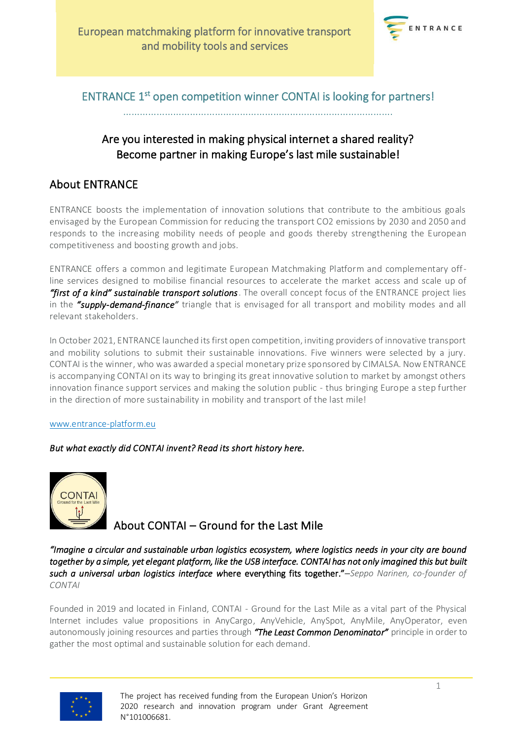

### ENTRANCE 1<sup>st</sup> open competition winner CONTAI is looking for partners!

…………………………………………………………………………………….

## Are you interested in making physical internet a shared reality? Become partner in making Europe's last mile sustainable!

### About ENTRANCE

ENTRANCE boosts the implementation of innovation solutions that contribute to the ambitious goals envisaged by the European Commission for reducing the transport CO2 emissions by 2030 and 2050 and responds to the increasing mobility needs of people and goods thereby strengthening the European competitiveness and boosting growth and jobs.

ENTRANCE offers a common and legitimate European Matchmaking Platform and complementary offline services designed to mobilise financial resources to accelerate the market access and scale up of *"first of a kind" sustainable transport solutions*. The overall concept focus of the ENTRANCE project lies in the *"supply-demand-finance"* triangle that is envisaged for all transport and mobility modes and all relevant stakeholders.

In October 2021, ENTRANCE launched its first open competition, inviting providers of innovative transport and mobility solutions to submit their sustainable innovations. Five winners were selected by a jury. CONTAI is the winner, who was awarded a special monetary prize sponsored by CIMALSA. Now ENTRANCE is accompanying CONTAI on its way to bringing its great innovative solution to market by amongst others innovation finance support services and making the solution public - thus bringing Europe a step further in the direction of more sustainability in mobility and transport of the last mile!

#### [www.entrance-platform.eu](http://www.entrance-platform.eu/)

### *But what exactly did CONTAI invent? Read its short history here.*



# About CONTAI – Ground for the Last Mile

*"Imagine a circular and sustainable urban logistics ecosystem, where logistics needs in your city are bound*  together by a simple, yet elegant platform, like the USB interface. CONTAI has not only imagined this but built *such a universal urban logistics interface w*here everything fits together."–*Seppo Narinen, co-founder of CONTAI*

Founded in 2019 and located in Finland, CONTAI - Ground for the Last Mile as a vital part of the Physical Internet includes value propositions in AnyCargo, AnyVehicle, AnySpot, AnyMile, AnyOperator, even autonomously joining resources and parties through *"The Least Common Denominator"* principle in order to gather the most optimal and sustainable solution for each demand.



The project has received funding from the European Union's Horizon 2020 research and innovation program under Grant Agreement N°101006681.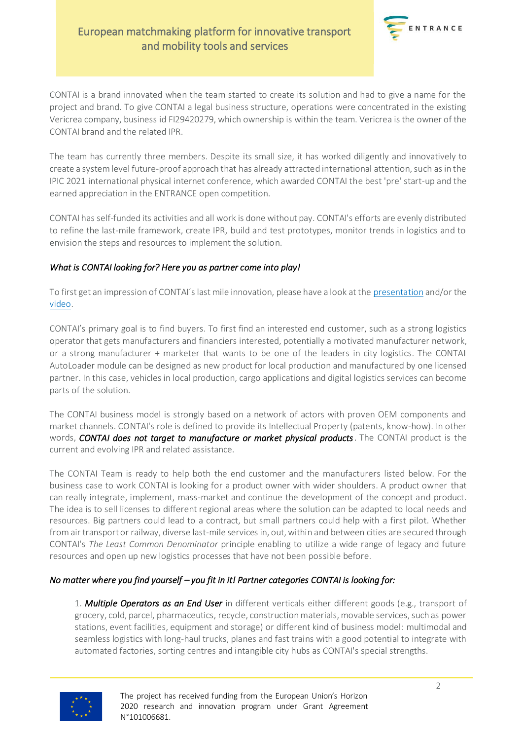### European matchmaking platform for innovative transport and mobility tools and services



CONTAI is a brand innovated when the team started to create its solution and had to give a name for the project and brand. To give CONTAI a legal business structure, operations were concentrated in the existing Vericrea company, business id FI29420279, which ownership is within the team. Vericrea is the owner of the CONTAI brand and the related IPR.

The team has currently three members. Despite its small size, it has worked diligently and innovatively to create a system level future-proof approach that has already attracted international attention, such as in the IPIC 2021 international physical internet conference, which awarded CONTAI the best 'pre' start-up and the earned appreciation in the ENTRANCE open competition.

CONTAI has self-funded its activities and all work is done without pay. CONTAI's efforts are evenly distributed to refine the last-mile framework, create IPR, build and test prototypes, monitor trends in logistics and to envision the steps and resources to implement the solution.

#### *What is CONTAI looking for? Here you as partner come into play!*

To first get an impression of CONTAI´s last mile innovation, please have a look at the [presentation](https://www.entrance-platform.eu/wp-content/uploads/2022/05/CONTAI-Ground-for-the-shared-Last-Mile_PRESENTATION.pdf) and/or the [video.](https://www.youtube.com/watch?v=e5Cwq8RVUV0)

CONTAI's primary goal is to find buyers. To first find an interested end customer, such as a strong logistics operator that gets manufacturers and financiers interested, potentially a motivated manufacturer network, or a strong manufacturer + marketer that wants to be one of the leaders in city logistics. The CONTAI AutoLoader module can be designed as new product for local production and manufactured by one licensed partner. In this case, vehicles in local production, cargo applications and digital logistics services can become parts of the solution.

The CONTAI business model is strongly based on a network of actors with proven OEM components and market channels. CONTAI's role is defined to provide its Intellectual Property (patents, know-how). In other words, *CONTAI does not target to manufacture or market physical products*. The CONTAI product is the current and evolving IPR and related assistance.

The CONTAI Team is ready to help both the end customer and the manufacturers listed below. For the business case to work CONTAI is looking for a product owner with wider shoulders. A product owner that can really integrate, implement, mass-market and continue the development of the concept and product. The idea is to sell licenses to different regional areas where the solution can be adapted to local needs and resources. Big partners could lead to a contract, but small partners could help with a first pilot. Whether from air transport or railway, diverse last-mile services in, out, within and between cities are secured through CONTAI's *The Least Common Denominator* principle enabling to utilize a wide range of legacy and future resources and open up new logistics processes that have not been possible before.

### *No matter where you find yourself – you fit in it! Partner categories CONTAI is looking for:*

1. *Multiple Operators as an End User* in different verticals either different goods (e.g., transport of grocery, cold, parcel, pharmaceutics, recycle, construction materials, movable services, such as power stations, event facilities, equipment and storage) or different kind of business model: multimodal and seamless logistics with long-haul trucks, planes and fast trains with a good potential to integrate with automated factories, sorting centres and intangible city hubs as CONTAI's special strengths.



The project has received funding from the European Union's Horizon 2020 research and innovation program under Grant Agreement N°101006681.